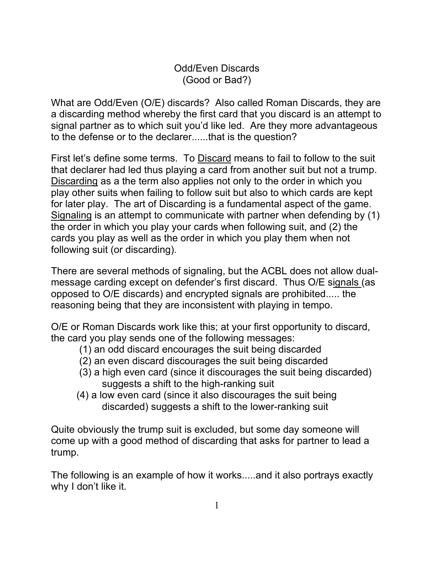Odd/Even Discards (Good or Bad?)

What are Odd/Even (O/E) discards? Also called Roman Discards, they are a discarding method whereby the first card that you discard is an attempt to signal partner as to which suit you'd like led. Are they more advantageous to the defense or to the declarer......that is the question?

First let's define some terms. To Discard means to fail to follow to the suit that declarer had led thus playing a card from another suit but not a trump. Discarding as a the term also applies not only to the order in which you play other suits when failing to follow suit but also to which cards are kept for later play. The art of Discarding is a fundamental aspect of the game. Signaling is an attempt to communicate with partner when defending by (1) the order in which you play your cards when following suit, and (2) the cards you play as well as the order in which you play them when not following suit (or discarding).

There are several methods of signaling, but the ACBL does not allow dualmessage carding except on defender's first discard. Thus O/E signals (as opposed to O/E discards) and encrypted signals are prohibited..... the reasoning being that they are inconsistent with playing in tempo.

O/E or Roman Discards work like this; at your first opportunity to discard, the card you play sends one of the following messages:

- (1) an odd discard encourages the suit being discarded
- (2) an even discard discourages the suit being discarded
- (3) a high even card (since it discourages the suit being discarded) suggests a shift to the high-ranking suit
- (4) a low even card (since it also discourages the suit being discarded) suggests a shift to the lower-ranking suit

Quite obviously the trump suit is excluded, but some day someone will come up with a good method of discarding that asks for partner to lead a trump.

The following is an example of how it works.....and it also portrays exactly why I don't like it.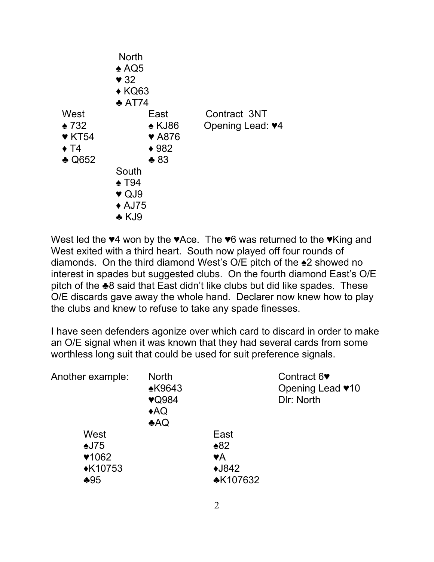|                                                                                          | <b>North</b><br>$\triangle$ AQ5<br>$\blacktriangledown$ 32<br>$\triangle$ KQ63<br>$\triangle$ AT74                                                          |                                  |
|------------------------------------------------------------------------------------------|-------------------------------------------------------------------------------------------------------------------------------------------------------------|----------------------------------|
| West<br>$\bullet$ 732<br>$\blacktriangledown$ KT54<br>$\triangle$ T4<br>$\triangle$ Q652 | East<br>$\triangle$ KJ86<br><b>▼ A876</b><br>$*982$<br>$*83$<br>South<br>$\triangle$ T94<br>$\blacktriangledown$ QJ9<br>$\triangle$ AJ75<br>$\triangle$ KJ9 | Contract 3NT<br>Opening Lead: ♥4 |

West led the ♥4 won by the ♥Ace. The ♥6 was returned to the ♥King and West exited with a third heart. South now played off four rounds of diamonds. On the third diamond West's O/E pitch of the ♠2 showed no interest in spades but suggested clubs. On the fourth diamond East's O/E pitch of the ♣8 said that East didn't like clubs but did like spades. These O/E discards gave away the whole hand. Declarer now knew how to play the clubs and knew to refuse to take any spade finesses.

I have seen defenders agonize over which card to discard in order to make an O/E signal when it was known that they had several cards from some worthless long suit that could be used for suit preference signals.

| Another example: | <b>North</b>  |                 | Contract 6               |
|------------------|---------------|-----------------|--------------------------|
|                  | <b>*K9643</b> |                 | Opening Lead <b>v</b> 10 |
|                  | <b>v</b> Q984 |                 | DIr: North               |
|                  | AQ            |                 |                          |
|                  | AQ            |                 |                          |
| West             |               | East            |                          |
| $\triangle$ J75  |               | $*82$           |                          |
| $*1062$          |               | ٧A              |                          |
| <b>◆K10753</b>   |               | $\bigstar$ J842 |                          |
| $*95$            |               | <b>*K107632</b> |                          |
|                  |               |                 |                          |